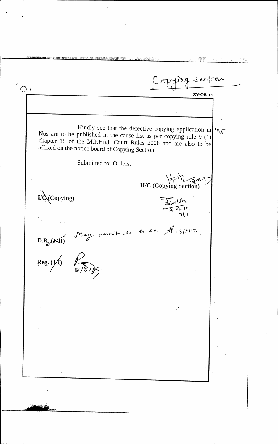i 17.1' Copying section  $\bigcirc$ . **XV-OR- 15**  Kindly see that the defective copying application in  $\log$ Nos are to be published in the cause list as per copying rule 9 (1) chapter 18 of the M.P.High Court Rules 2008 and are also to be affixed on the notice board of Copying Section. Submitted for Orders. H/C (Copying Section) **Copying)**   $\frac{1}{2}$   $\frac{1}{2}$   $\frac{1}{2}$   $\frac{1}{2}$ **D.R. (***B***-II)** May permit to do so. Af  $8/9$ /2.<br>Reg. (*J*1)  $\sqrt{8/9}$ /*J*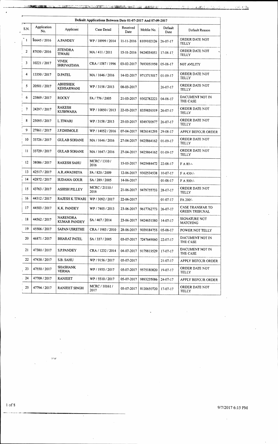| A START AND CONTACT UTCHART REPORT FOR THE RESIDENCE OF A START AND CONTACT AND LODGED AND COLLECTED AND LODGED |  |
|-----------------------------------------------------------------------------------------------------------------|--|
|                                                                                                                 |  |

|                | Default Applications Between Date 01-07-2017 And 07-09-2017 |                                      |                        |                  |                         |                 |                                           |  |  |  |  |  |
|----------------|-------------------------------------------------------------|--------------------------------------|------------------------|------------------|-------------------------|-----------------|-------------------------------------------|--|--|--|--|--|
| S.N.           | Application<br>No.                                          | Applicant                            | Case Detail            | Received<br>Date | Moblie No.              | Default<br>Date | Default Reason                            |  |  |  |  |  |
| $\mathbf{1}$   | 86645 / 2016                                                | A.PANDEY                             | WP / 18999 / 2014      | 11-11-2016       | 8109102126              | $26 - 07 - 17$  | ORDER DATE NOT<br>TELLY                   |  |  |  |  |  |
| 2              | 87030 / 2016                                                | <b>JITENDRA</b><br><b>TIWARI</b>     | MA/411/2011            | 15-11-2016       | 9424033053              | 17-08-17        | ORDER DATE NOT<br><b>TELLY</b>            |  |  |  |  |  |
| 3              | 10221/2017                                                  | <b>VIVEK</b><br><b>SHRIVASTAVA</b>   | CRA / 1587 / 1996      | 03-02-2017       | 7693051950              | 05-08-17        | N0T AVILITY                               |  |  |  |  |  |
| 4              | 13350 / 2017                                                | <b>D.PATEL</b>                       | MA / 1646 / 2016       | 14-02-2017       | 9713715017              | $01-09-17$      | ORDER DATE NOT<br>TELLY                   |  |  |  |  |  |
| 5              | 20501/2017                                                  | <b>ABHISHEK</b><br><b>KEHSARWANI</b> | WP / 3158 / 2013       | 08-03-2017       |                         | $26 - 07 - 17$  | ORDER DATE NOT<br><b>TELLY</b>            |  |  |  |  |  |
| 6              | 23869 / 2017                                                | <b>ROCKY</b>                         | FA / 776 / 2005        | 21-03-2017       | 9302782223              | $04 - 08 - 17$  | DACUMENT NOT IN<br>THE CASE               |  |  |  |  |  |
| $\overline{7}$ | 24297 / 2017                                                | <b>RAKESH</b><br><b>KUSHWAHA</b>     | WP / 10850 / 2013      | 22-03-2017       | 8359835519              | $26 - 07 - 17$  | ORDER DATE NOT<br>TELLY                   |  |  |  |  |  |
| 8              | 25095/2017                                                  | L.TIWARI                             | WP / 3158 / 2013       | 25-03-2017       | 8349700977              | $26 - 07 - 17$  | ORDER DATE NOT<br><b>TELLY</b>            |  |  |  |  |  |
| 9              | 27861/2017                                                  | J.P.DHIMOLE                          | WP / 14052 / 2016      | 07-04-2017       | 9826141295              | 29-08-17        | APPLY BEFOUR ORDER                        |  |  |  |  |  |
| 10             | 33726 / 2017                                                | <b>GULAB SOHANE</b>                  | MA / 1646 / 2016       | 27-04-2017       | 9425864162              | $01-09-17$      | ORDER DATE NOT<br><b>TELLY</b>            |  |  |  |  |  |
| 11             | 33729 / 2017                                                | <b>GULAB SOHANE</b>                  | MA / 1647 / 2016       | 27-04-2017       | 9425864162              | $01-09-17$      | ORDER DATE NOT<br>TELLY                   |  |  |  |  |  |
| 12             | 38086 / 2017                                                | <b>RAKESH SAHU</b>                   | MCRC / 1310 /<br>2016  | 15-05-2017       | 9425484472              | $22 - 08 - 17$  | $FA 80 -$                                 |  |  |  |  |  |
| 13             | 42517/2017                                                  | A.R.AWADHIYA                         | FA / 820 / 2009        | 12-06-2017       | 9302534538              | $10 - 07 - 17$  | $F A 430/-$                               |  |  |  |  |  |
| 14             | 42872/2017                                                  | <b>SUDAMA GOUR</b>                   | SA / 289 / 2005        | 14-06-2017       |                         | $01 - 08 - 17$  | F A 500/-                                 |  |  |  |  |  |
| 15             | 43763 / 2017                                                | <b>ASHISH PILLEY</b>                 | MCRC/21110/<br>2016    | 21-06-2017       | 9479755733              | 28-07-17        | ORDER DATE NOT<br><b>TELLY</b>            |  |  |  |  |  |
| 16             | 44312/2017                                                  | <b>RAJESH K TIWARI</b>               | WP / 3092 / 2017       | 22-06-2017       |                         | $01-07-17$      | FA 200/-                                  |  |  |  |  |  |
| 17             | 44503 / 2017                                                | K.K. PANDEY                          | WP / 7405 / 2013       | 23-06-2017       | 9617762773              | $26 - 07 - 17$  | CASE TRANSFAR TO<br><b>GREEN TRIBUNAL</b> |  |  |  |  |  |
| $\frac{18}{1}$ | 44562 / 2017                                                | <b>NARENDRA</b><br>KUMAR PANDEY      | SA / 467 / 2014        |                  | 23-06-2017   9424651580 | 14-07-17        | SIGNATURE NCT<br><b>MATCHING</b>          |  |  |  |  |  |
| 19             | 45506 / 2017                                                | <b>SAPAN USRETHE</b>                 | CRA / 1983 / 2010      | 28-06-2017       | 9039184755              | 05-08-17        | POWER NOT TELLY                           |  |  |  |  |  |
| 20             | 46871/2017                                                  | <b>BHARAT PATEL</b>                  | SA / 337 / 2005        | 03-07-2017       | 7247649060              | $22 - 07 - 17$  | DACUMENT NOT IN<br>THE CASE               |  |  |  |  |  |
| 21             | 47380 / 2017                                                | S.P.PANDEY                           | CRA / 1232 / 2014      | 04-07-2017       | 9179819529              | $17-07-17$      | DACUMENT NOT IN<br>THE CASE               |  |  |  |  |  |
| 22             | 47438 / 2017                                                | S.B. SAHU                            | WP / 9156 / 2017       | 05-07-2017       |                         | $21 - 07 - 17$  | APPLY BEFOUR ORDER                        |  |  |  |  |  |
| 23             | 47550 / 2017                                                | <b>SHASHANK</b><br><b>VERMA</b>      | WP / 1955 / 2017       | 05-07-2017       | 9575180820              | $19-07-17$      | ORDER DATE NOT<br>TELLY                   |  |  |  |  |  |
| 24             | 47709 / 2017                                                | <b>RANJEET</b>                       | WP / 5510 / 2017       | 05-07-2017       | 9893235086              | $24 - 07 - 17$  | APPLY BEFOUR ORDER                        |  |  |  |  |  |
| 25             | 47794 / 2017                                                | RANJEET SINGH                        | MCRC / 10161 /<br>2017 | 05-07-2017       | 8120659720              | $17-07-17$      | ORDER DATE NOT<br>TELLY                   |  |  |  |  |  |

1 of 8 9/7/2017 6:15 PM

 $\hat{\mathcal{A}}$ 

 $\omega_{\mathbf{z}}$ 

 $\pmb{\cdot}$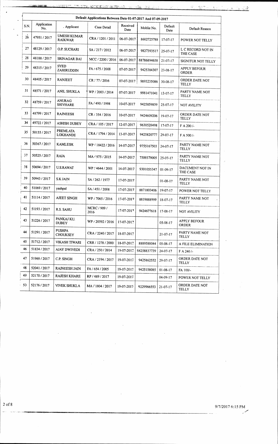| <u>rester to a construction of the construction of the state of the construction of the construction of the construction of the construction of the construction of the construction of the construction of the construction of </u> |  |  |
|--------------------------------------------------------------------------------------------------------------------------------------------------------------------------------------------------------------------------------------|--|--|
|                                                                                                                                                                                                                                      |  |  |

|      | Default Applications Between Date 01-07-2017 And 07-09-2017 |                                      |                      |                          |                        |                 |                                     |  |  |  |  |  |  |
|------|-------------------------------------------------------------|--------------------------------------|----------------------|--------------------------|------------------------|-----------------|-------------------------------------|--|--|--|--|--|--|
| S.N. | Application<br>No.                                          | . Applicant                          | Case Detail          | Received<br>Date         | Moblie No.             | Default<br>Date | Default Reason                      |  |  |  |  |  |  |
| 26   | 47951 / 2017                                                | <b>UMESH KUMAR</b><br><b>RAIKWAR</b> | CRA / 1201 / 2011    | 06-07-2017               | 8602725788             | 17-07-17        | POWER NOT TELLY                     |  |  |  |  |  |  |
| 27   | 48129 / 2017                                                | O.P. SUCHARI                         | SA / 217 / 2012      | 06-07-2017<br>9827393517 |                        | $25 - 07 - 17$  | L C RECORD NOT IN<br>THE CASE       |  |  |  |  |  |  |
| 28   | 48188 / 2017                                                | SRINAGAR BAI                         | MCC / 2200 / 2016    | 06-07-2017               | 88786894658            | $21 - 07 - 17$  | SIGNITUR NOT TELLY                  |  |  |  |  |  |  |
| 29   | 48315/2017                                                  | <b>SYED</b><br>ZAHIRUDDIN            | FA / 675 / 2008      | 07-07-2017               | 9425384307             | $23 - 08 - 17$  | APPLY BEFOUR<br><b>ORDER</b>        |  |  |  |  |  |  |
| 30   | 48405 / 2017                                                | RANJEET                              | CR: 77/2016          | 07-07-2017               | 9893235086             | $30 - 08 - 17$  | ORDER DATE NOT<br><b>TELLY</b>      |  |  |  |  |  |  |
| 31   | 48571 / 2017                                                | ANIL SHUKLA                          | WP / 2003 / 2014     | 07-07-2017               | 9981471041             | $13 - 07 - 17$  | PARTY NAME NOT<br>TELLY             |  |  |  |  |  |  |
| 32   | 48759 / 2017                                                | <b>ANURAG</b><br><b>SHIVHARE</b>     | FA / 490 / 1998      | 10-07-2017               | 9425859859             | $25-07-17$      | <b>NOT AVILITY</b>                  |  |  |  |  |  |  |
| 33   | 48799 / 2017                                                | <b>RAJNEESH</b>                      | CR / 354 / 2016      | 10-07-2017               | 9424609206             | $19-07-17$      | ORDER DATE NOT<br>TELLY             |  |  |  |  |  |  |
| 34   | 49722 / 2017                                                | <b>ASHISH DUBEY</b>                  | CRA / 105 / 2017     | 12-07-2017               | 9630528498             | $17-07-17$      | F A 200/-                           |  |  |  |  |  |  |
| 35   | 50155/2017                                                  | PREMLATA<br><b>LOKHANDE</b>          | CRA / 1794 / 2014    | 13-07-2017               | 9425820777<br>29-07-17 |                 | F A 500/-                           |  |  |  |  |  |  |
| 36   | 50367/2017                                                  | KAMLESH.                             | WP / 18422 / 2016    | 14-07-2017               | 9755167503             | 24-07-17        | PARTY NAME NOT<br><b>TELLY</b>      |  |  |  |  |  |  |
| 37   | 50525 / 2017                                                | <b>RAJA</b>                          | MA / 975 / 2015      | 14-07-2017               | 7509379005             | $25-07-17$      | PARTY NAME NOT<br><b>TELLY</b>      |  |  |  |  |  |  |
| 38   | 50694 / 2017                                                | <b>U.S.RAWAT</b>                     | WP: 4644/2001        | 14-07-2017               | 9301055347             | $01-09-17$      | DACUMENT NOT IN<br>THE CASE         |  |  |  |  |  |  |
| 39   | 50943 / 2017                                                | <b>S.K JAIN</b>                      | SA / 262 / 1977      | 17-07-2017               |                        | $01 - 08 - 17$  | PARTY NAME NOT<br>TELLY             |  |  |  |  |  |  |
| 40   | 51069 / 2017                                                | yashpal                              | SA / 451 / 2008      | 17-07-2017               | 8871803406             | $19-07-17$      | POWER NOT TELLY                     |  |  |  |  |  |  |
| 41   | 51114/2017                                                  | AJEET SINGH                          | WP / 7065 / 2016     | 17-07-2017               | 8819888999             | $18-07-17$      | PARTY NAME NOT<br><b>TELLY</b>      |  |  |  |  |  |  |
| 42   | 51193/2017                                                  | R.S. SAHU                            | MCRC / 909 /<br>2016 | 17-07-2017               | 9424677618             | 17-08-17        | <b>NOT AVILITY</b>                  |  |  |  |  |  |  |
| 43   | 51226/2017                                                  | PANKAJ KU.<br><b>DUBEY</b>           | WP / 20592 / 2016    | 17-07-2017               |                        | 05-08-17        | <b>APPLY BEFOUR</b><br><b>ORDER</b> |  |  |  |  |  |  |
| 44   | 51291 / 2017                                                | <b>PUSHPA</b><br><b>CHOUKSEY</b>     | CRA / 2240 / 2017    | $18-07-2017$             |                        | $21 - 07 - 17$  | PARTY NAME NOT<br>TELLY             |  |  |  |  |  |  |
| 45   | 51712/2017                                                  | VIKASH TIWARI                        | CRR / 1278 / 2000    | 18-07-2017               | 8889588044             | 05-08-17        | A FILE ELIMINATION                  |  |  |  |  |  |  |
| 46   | 51834 / 2017                                                | AJAY DWIVEDI                         | CRA / 250 / 2014     | 19-07-2017               | 54258837739            | 24-07-17        | F A 240/-                           |  |  |  |  |  |  |
| 47   | 51969 / 2017                                                | C.P. SINGH                           | CRA / 2194 / 2017    | 19-07-2017               | 9425862552             | 29-07-17        | ORDER DATE NOT<br>TELLY             |  |  |  |  |  |  |
| 48   | 52041/2017                                                  | RAJNEESH JAIN                        | FA / 654 / 2005      | 19-07-2017               | 9425158085             | $01-08-17$      | FA 100/-                            |  |  |  |  |  |  |
| 49   | 52170/2017                                                  | RAJESH KHARE                         | RP/489/2017          | 19-07-2017               |                        | 04-09-17        | POWER NOT TELLY                     |  |  |  |  |  |  |
| 50   | 52176 / 2017                                                | <b>VIVEK SHUKLA</b>                  | MA / 1804 / 2017     | 19-07-2017               | 9229966553             | 21-07-17        | ORDER DATE NOT<br>TELLY             |  |  |  |  |  |  |

 $\cdot$ 

 $\ddot{\phantom{a}}$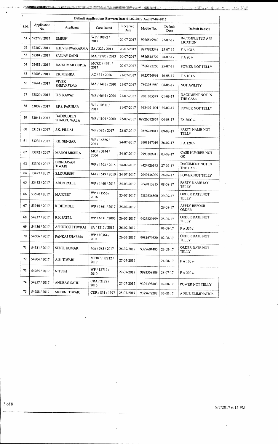$\mathbb{Z}$ 

|      | Default Applications Between Date 01-07-2017 And 07-09-2017 |                                   |                        |                   |             |                 |                                           |  |  |  |  |  |  |
|------|-------------------------------------------------------------|-----------------------------------|------------------------|-------------------|-------------|-----------------|-------------------------------------------|--|--|--|--|--|--|
| S.N. | Application<br>No.                                          | Applicant                         | Case Detail            | Received<br>Date  | Moblie No.  | Default<br>Date | Default Reason                            |  |  |  |  |  |  |
| 51   | 52279 / 2017                                                | <b>UMESH</b>                      | WP/10892/<br>2012      | 20-07-2017        | 9926549940  | 22-07-17        | <b>INCOMPLETED APP</b><br><b>LICATION</b> |  |  |  |  |  |  |
| 52   | 52307/2017                                                  | K.B.VISHWAKARMA                   | SA / 222 / 2013        | 20-07-2017        | 9977933348  | $25 - 07 - 17$  | F A 400/-                                 |  |  |  |  |  |  |
| 53   | 52384 / 2017                                                | SANJAY SAINI                      | MA / 2795 / 2013       | 20-07-2017        | 9826818729  | $28 - 07 - 17$  | FA 90/-                                   |  |  |  |  |  |  |
| 54   | 52481/2017                                                  | RAJKUMAR GUPTA                    | MCRC / 4491 /<br>2017  | 20-07-2017        | 7566122260  | $25-07-17$      | POWER NOT TELLY                           |  |  |  |  |  |  |
| 55   | 52608 / 2017                                                | P.K.MISHRA                        | AC / 37 / 2016         | 21-07-2017        | 9425756964  | $16-08-17$      | $FA$ 103/-                                |  |  |  |  |  |  |
| 56   | 52644 / 2017                                                | VIVEK<br><b>SHRIVASTAVA</b>       | MA / 1418 / 2010       | 21-07-2017        | 7693051950  | $08 - 08 - 17$  | <b>NOT AVILITY</b>                        |  |  |  |  |  |  |
| 57   | 52820 / 2017                                                | <b>U.S. RAWAT</b>                 | WP / 4644 / 2004       | 21-07-2017        | 9301055347  | $01 - 09 - 17$  | DACUMENT NOT IN<br>THE CASE               |  |  |  |  |  |  |
| 58   | 53007/2017                                                  | P.P.S. PARIHAR                    | WP/10311/<br>2017      | 21-07-2017        | 9424071004  | 25-07-17        | POWER NOT TELLY                           |  |  |  |  |  |  |
| 59   | 53041/2017                                                  | <b>BADRUDDIN</b><br>SHAKRU WALA   | WP / 1104 / 2000       | 22-07-2017        | 09926072959 | $04 - 08 - 17$  | FA 2000/-                                 |  |  |  |  |  |  |
| 60   | 53158 / 2017                                                | J.K. PILLAI                       | WP / 585 / 2017        | 22-07-2017        | 9826789041  | $09 - 08 - 17$  | PARTY NAME NOT<br>TELLY                   |  |  |  |  |  |  |
| -61  | 53236 / 2017                                                | P.K. SENGAR                       | WP / 16526 /<br>2013   | 24-07-2017        | 9993147019  | $26 - 07 - 17$  | F A 120/-                                 |  |  |  |  |  |  |
| 62   | 53242 / 2017                                                | <b>MANOJ MISHRA</b>               | MCP / 3144 /<br>2004   | 24-07-2017        | 9993809941  | $03 - 08 - 17$  | CASE NUMBER NOT<br>0K.                    |  |  |  |  |  |  |
| 63   | 53300 / 2017                                                | <b>BRINDAVAN</b><br><b>TIWARI</b> | WP / 1393 / 2015       | 24-07-2017        | 9424926193  | 27-07-17        | DACUMENT NOT IN<br>THE CASE               |  |  |  |  |  |  |
| 64   | 53427 / 2017                                                | S.I.QURESHI                       | MA / 1549 / 2010       | 24-07-2017        | 7049136005  | 28-07-17        | POWER NOT TELLY                           |  |  |  |  |  |  |
| 65   | 53452/2017                                                  | <b>ARUN PATEL</b>                 | WP / 1460 / 2013       | 24-07-2017        | 9669113815  | $08 - 08 - 17$  | PARTY NAME NOT<br>TELLY                   |  |  |  |  |  |  |
| 66   | 53690 / 2017                                                | <b>MANJEET</b>                    | WP / 11556 /<br>2016   | 25-07-2017        | 7389836500  | 29-07-17        | ORDER DATE NOT<br>TELLY                   |  |  |  |  |  |  |
| 67   | 53910/2017                                                  | <b>K.DHIMOLE</b>                  | WP / 1861 / 2017       | $-25 - 07 - 2017$ |             | 29-08-17        | <b>APPLY BEFOUR</b><br>ORDER              |  |  |  |  |  |  |
| 68   | 54237 / 2017                                                | R.K.PATEL                         | WP / 6331 / 2006       | 26-07-2017        | 9425829199  | 28-07-17        | ORDER DATE NOT<br>TELLY                   |  |  |  |  |  |  |
| 69   | 54436 / 2017                                                | ASHUTOSH TIWRAI                   | SA / 1215 / 2012       | 26-07-2017        |             | $01 - 08 - 17$  | F A 550/-                                 |  |  |  |  |  |  |
| 70   | 54506 / 2017                                                | PANKAJ SHARMA                     | WP / 10364 /<br>2011   | 26-07-2017        | 9981670820  | $02 - 08 - 17$  | ORDER DATE NOT<br><b>TELLY</b>            |  |  |  |  |  |  |
| 71   | 54531 / 2017                                                | SUNIL KUMAR                       | MA / 585 / 2017        | 26-07-2017        | 9329604485  | 23-08-17        | ORDER DATE NOT<br>TELLY                   |  |  |  |  |  |  |
| 72   | 54704 / 2017                                                | A.B. TIWARI                       | MCRC / 12212 /<br>2017 | 27-07-2017        |             | $24 - 08 - 17$  | F A 10C /-                                |  |  |  |  |  |  |
| 73   | 54765 / 2017                                                | NITESH                            | WP / 18712 /<br>2010   | 27-07-2017        | 9993369809  | $28-07-17$      | F A 20C/-                                 |  |  |  |  |  |  |
| 74   | 54857 / 2017                                                | ANURAG SAHU                       | CRA / 2128 /<br>2016   | 27-07-2017        | 9301393803  | $09 - 08 - 17$  | POWER NOT TELLY                           |  |  |  |  |  |  |
| 75   | 54988 / 2017                                                | MOHINI TIWARI                     | CRR / 831 / 1997       | 28-07-2017        | 9329678282  | $05-08-17$      | A FILE ELIMINATION                        |  |  |  |  |  |  |

3 of 8

 $\cdot$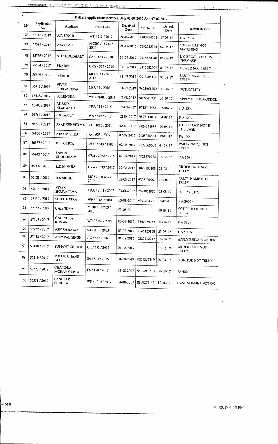| Default Applications Between Date 01-07-2017 And 07-09-2017 |                    |                                      |                        |                                      |                       |                 |                                  |  |  |  |  |  |
|-------------------------------------------------------------|--------------------|--------------------------------------|------------------------|--------------------------------------|-----------------------|-----------------|----------------------------------|--|--|--|--|--|
| S.N.                                                        | Application<br>No. | Applicant                            | Case Detail            | Received<br>Date                     | Moblie No.            | Default<br>Date | Default Reason                   |  |  |  |  |  |
| 76                                                          | 55146 / 2017       | A.P. SINGH                           | WP/213/2017            | 28-07-2017                           | 8103324528            | $17 - 08 - 17$  | FA 160/-                         |  |  |  |  |  |
| 77                                                          | 55317/2017         | <b>AJAY PATEL</b>                    | MCRC / 18734 /<br>2016 | 28-07-2017<br>7692025555<br>08-08-17 |                       |                 | SIGNATURE NOT<br><b>MATCHING</b> |  |  |  |  |  |
| 78                                                          | 55526 / 2017       | S.B.CHOUDHARY                        | SA ! 1659 / 2008       | 31-07-2017                           | 9926350040            | $05-08-17$      | L C RECORD NOT IN<br>THE CASE    |  |  |  |  |  |
| 79                                                          | 55564 / 2017       | <b>PRADEEP</b>                       | CRA / 517 / 2016       | 31-07-2017                           | 8815082604            | $05-08-17$      | POWER NOT TELLY                  |  |  |  |  |  |
| 80                                                          | 55619 / 2017       | rajkumar                             | MCRC / 12143 /<br>2017 | 31-07-2017                           | 9575605414            | $01 - 08 - 17$  | PARTY NAME NOT<br><b>TELLY</b>   |  |  |  |  |  |
| 31                                                          | 55711/2017         | <b>VIVEK</b><br><b>SHRIVASTAVA</b>   | CEA / 4 / 2016         | 31-07-2017                           | 7693051950            | 08-08-17        | NOT AVILITY                      |  |  |  |  |  |
| 32                                                          | 56438 / 2017       | <b>SURENDRA</b>                      | WP / 21481 / 2013      | 02-08-2017                           | 9039580235            | 05-09-17        | APPLY BEFOUR ORDER               |  |  |  |  |  |
| 33                                                          | 56503 / 2017       | <b>ANAND</b><br><b>KUSHWAHA</b>      | CRA / 54 / 2015        | 02-08-2017                           | 9713746484            | $05-08-17$      | $FA$ 130/-                       |  |  |  |  |  |
| 34                                                          | 56764 / 2017       | <b>S.S.RAJPUT</b>                    | WA / 615 / 2017        | 02-08-2017                           | 9827118072            | $04 - 08 - 17$  | F A 120/-                        |  |  |  |  |  |
| 85                                                          | 56778 / 2017       | PRADEEP VERMA                        | SA / 1010 / 2011       | 02-08-2017                           | 9424678987            | $09 - 08 - 17$  | L C RECORD NOT IN<br>THE CASE    |  |  |  |  |  |
| 86                                                          | 56836 / 2017       | <b>AJAY MISHRA</b>                   | FA / 623 / 2007        | 02-08-2017                           | 9425356888            | $09-08-17$      | FA 400/-                         |  |  |  |  |  |
| 87                                                          | 56837/2017         | K.L. GUPTA                           | MCC / 345 / 1985       | 02-08-2017                           | 9827069668            | $04 - 08 - 17$  | PARTY NAME NOT<br><b>TELLY</b>   |  |  |  |  |  |
| 88                                                          | 56842 / 2017       | <b>SAVITA</b><br><b>CHOUDHARY</b>    | CRA / 2078 / 2015      | 02-08-2017                           | 9926870272            | $16 - 08 - 17$  | $FA$ 150/-                       |  |  |  |  |  |
| 89                                                          | 56904 / 2017       | K.K.MISHRA.                          | CRA / 2593 / 2017      | 02-08-2017                           | 9826193109            | 21-08-17        | ORDER DATE NOT<br><b>TELLY</b>   |  |  |  |  |  |
| 90                                                          | 56921/2017         | D.N.SINGH                            | MCRC / 10677 /<br>2017 | 02-08-2017                           | 9302101962            | $03 - 08 - 17$  | PARTY NAME NOT<br>TELLY          |  |  |  |  |  |
| 91                                                          | 57016/2017         | <b>VIVEK</b><br><b>SHRIVASTAVA</b>   | CRA / 2111 / 2007      | 03-08-2017                           | 7693051950            | $05-08-17$      | <b>NOT AVILITY</b>               |  |  |  |  |  |
| 92                                                          | 57130/2017         | <b>SUNIL BATRA</b>                   | WP / 3665 / 2004       | 03-08-2017                           | 9993204309            | $05-08-17$      | F A 2000/-                       |  |  |  |  |  |
| 93                                                          | 57188 / 2017       | <b>GAJENDRA</b>                      | MCRC / 12663 /<br>2017 | 03-08-2017                           |                       | $09 - 08 - 17$  | ORDER DATE NOT<br>TELLY          |  |  |  |  |  |
| 94                                                          | 57192 / 2017       | <b>GAJENDRA</b><br><b>KUMAR</b>      | WP: 8160/2017          |                                      | 03-03-2017 9300279735 | $11 - 08 - 17$  | F A 360/-                        |  |  |  |  |  |
| 95                                                          | 57237/2017         | <b>ASHISH RAJAK</b>                  | SA / 372 / 2005        | 03-08-2017                           | 7566125108            | $23 - 08 - 17$  | F A 500/-                        |  |  |  |  |  |
| 96                                                          | 57442 / 2017       | AJAY PAL SINGH                       | AC / 67 / 2016         | 04-08-2017 9229132987                |                       | $16 - 08 - 17$  | APPLY BEFOUR ORDER               |  |  |  |  |  |
| 57                                                          | 57480 / 2017       | <b>SUMANT CHROTE</b>                 | CR / 353 / 2017        | 04-08-2017                           |                       | $10 - 08 - 17$  | ORDER DATE NOT<br>TELLY          |  |  |  |  |  |
| 98                                                          | 57510/2017         | PHOOL CHAND<br>KOL                   | SA / 841 / 2015        |                                      | 04-08-2017 9224357649 | $09-08-17$      | SIGNITUR NOT TELLY               |  |  |  |  |  |
| 99                                                          | 57522 / 2017       | <b>CHANDRA</b><br><b>MOHAN GUPTA</b> | FA / 178 / 2017        | 04-08-2017                           | 9407268710            | 09-08-17        | FA 400/-                         |  |  |  |  |  |
| 100                                                         | 57538 / 2017       | <b>SANDEEP</b><br><b>SHUKLA</b>      | WP / 4015 / 2017       | 04-08-2017                           | 8109257146            | $10-08-17$      | CASE NUMBER NOT OK               |  |  |  |  |  |

 $\bar{\lambda}$ 

**BUSEAU** 

VE SIRE

**• THE RESERVE TO A 197 PERSONAL PROPERTY OF A 197 PERSONAL PROPERTY OF A 200 PERSONAL PROPERTY OF A** 

 $\bar{\textbf{z}}$ 

9/7/2017 6:15 PM •

 $\sim 10^6$ 

4

 $\cdot$ 

 $2\mathbb{Z}$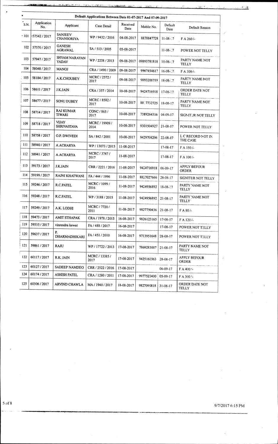$\ddot{\phantom{1}}$ 

 $\frac{1}{2}$ 

 $\hat{\mathcal{E}}$  $\mathcal{L}$ 

> $\hat{\beta}$  $\overline{\phantom{a}}$

|        |                    |                                     | Default Applications Between Date 01-07-2017 And 07-09-2017 |                  |             |                 |                                |
|--------|--------------------|-------------------------------------|-------------------------------------------------------------|------------------|-------------|-----------------|--------------------------------|
| S.N.   | Application<br>No. | Applicant                           | Case Detail                                                 | Received<br>Date | Moblie No.  | Default<br>Date | Default Reason                 |
| $-101$ | 2017 / 57542       | <b>SANJEEV</b><br><b>CHANSORIYA</b> | WP / 9432 / 2016                                            | 04-08-2017       | 8878847728  | $11-08-7$       | F A 260/-                      |
| 102    | 57570/2017         | <b>GANESH</b><br>AGRAWAL            | SA / 513 / 2005                                             | 05-08-2017       |             | $11-08-7$       | POWER NOT TELLY                |
| 103    | 57947 / 2017       | SHYAM NARAYAN<br><b>YADAV</b>       | WP / 2238 / 2013                                            | 09-08-2017       | 09893781818 | $10-08-17$      | PARTY NAME NOT<br><b>TELLY</b> |
| 104    | 58048 / 2017       | <b>MANOJ</b>                        | CRA / 1490 / 2009                                           | 09-08-2017       | 9907454617  | $16-08-7$       | F A 300/-                      |
| 105    | 58184/2017         | A.K.CHOUBEY                         | MCRC / 2572 /<br>2017                                       | 09-08-2017       | 9893208719  | $18 - 08 - 7$   | PARTY NAME NOT<br><b>TELLY</b> |
| 106    | 58611/2017         | <b>J.K.JAIN</b>                     | CRA / 357 / 2014                                            | 10-08-2017       | 9424716918  | $17-08-17$      | ORDER DATE NOT<br><b>TELLY</b> |
| 107    | 58677/2017         | SONU DUBEY                          | MCRC / 8582 /<br>2017                                       | 10-08-2017       | 8817732725  | $18 - 08 - 17$  | PARTY NAME NOT<br>TELLY        |
| 108    | 58714 / 2017       | <b>RAJ KUMAR</b><br><b>TIWARI</b>   | CONC / 865 /<br>2017                                        | 10-08-2017       | 7389264316  | $04 - 09 - 17$  | SIGNITUR NOT TELLY             |
| 109    | 58718 / 2017       | <b>VIJAY</b><br><b>SHRIVASTAVA</b>  | MCRC / 19909 /<br>2014                                      | 10-08-2017       | 9301504927  | $21 - 08 - 17$  | POWER NOT TELLY                |
| 110    | 58758 / 2017       | O.P. DWIVEDI                        | SA / 842 / 2001                                             | 10-08-2017       | 9429708296  | $22 - 08 - 17$  | L C RECORD NOT IN<br>THE CASE  |
| 111    | 58940 / 2017       | A.ACHARYA                           | WP / 13073 / 2015                                           | 11-08-2017       |             | $17-08-17$      | F A 150/-                      |
| 112    | 58941 / 2017       | A.ACHARYA                           | MCRC / 3747 /<br>2017                                       | 11-08-2017       |             | $17 - 08 - 17$  | F A 100/-                      |
| 113    | 59173 / 2017       | <b>J.K.JAIN</b>                     | CRR / 2221 / 2016                                           | 11-08-2017       | 9424716918  | $06-09-17$      | <b>APPLY BEFOUR</b><br>ORDER   |
| 114    | 59199 / 2017       | RAJNI KHATWANI                      | FA / 444 / 1996                                             | 11-08-2017       | 8827027666  | $28 - 08 - 17$  | SIGNITUR NOT TELLY             |
| 115    | 59246 / 2017       | R.C.PATEL                           | MCRC / 1099 /<br>2016                                       | 11-08-2017       | 9424956892  | $18-08-17$      | PARTY NAME NOT<br><b>TELLY</b> |
| 116    | 59248 / 2017       | R.C.PATEL                           | WP / 3188 / 2015                                            | 11-08-2017       | 9424956892  | $21 - 08 - 17$  | PARTY NAME NOT<br>TELLY        |
| 117    | 59249 / 2017       | A.K. LODHI                          | MCRC / 7720 /<br>2011                                       | 11-08-2017       | 9827750436  | $21 - 08 - 17$  | $FA 80/-$                      |
| 118    | 59473 / 2017       | <b>AMIT STHAPAK</b>                 | CRA / 1978 / 2015                                           | 16-08-2017       | 9826123165  | $17 - 08 - 17$  | F A 120 /-                     |
| 119    | 59535 / 2017       | vinrendra kewat                     | FA / 488 / 2017                                             | 16-08-2017       |             | $17-08-17$      | POWER NOT TELLY                |
| 120    | 59637 / 2017       | P.<br>DHARMADHIKARI                 | FA / 451 / 2010                                             | 16-08-2017       | 9713951648  | 28-08-17        | POWER NOT TELLY                |
| 121    | 59861/2017         | RAJU                                | WP / 17722 / 2013                                           | 17-08-2017       | 7869283007  | $21 - 08 - 17$  | PARTY NAME NOT<br>TELLY        |
| 122    | 60117/2017         | R.K. JAIN                           | MCRC / 13385 /<br>2017                                      | 17-08-2017       | 9425160363  | $28 - 08 - 17$  | <b>APPLY BEFOUR</b><br>ORDER   |
| 123    | 60127/2017         | SADEEP NAMDEO                       | CRR / 2522 / 2016                                           | 17-08-2017       |             | $06 - 09 - 17$  | $F A 400$ $\sim$               |
| 124    | 60174/2017         | <b>ASHISH PATEL</b>                 | CRA / 1280 / 2011                                           | 17-08-2017       | 9977520400  | 05-09-17        | F A 300 :-                     |
| 125    | 60306 / 2017       | <b>ARVIND CHAWLA</b>                | MA / 1940 / 2017                                            | 18-08-2017       | 9827090818  | $31 - 08 - 17$  | ORDER DATE NOT<br>TELLY        |

5 of 8 9/7/2017 6:15 PM

 $\overline{a}$ 

 $\bar{z}$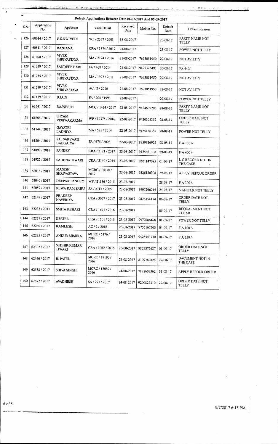|       |                    |                                     |                        |                  |                       | Default Applications Between Date 01-07-2017 And 07-09-2017 |                                |  |  |  |  |  |  |  |  |  |  |  |  |
|-------|--------------------|-------------------------------------|------------------------|------------------|-----------------------|-------------------------------------------------------------|--------------------------------|--|--|--|--|--|--|--|--|--|--|--|--|
| S.N.  | Application<br>No. | Applicant                           | Case Detail            | Received<br>Date | Moblie No.            | Default<br>Date                                             | Default Reason                 |  |  |  |  |  |  |  |  |  |  |  |  |
| 126   | 60634 / 2017       | G.S.DWIVEDI                         | WP / 2377 / 2003       | 18-08-2017       |                       | 23-08-17                                                    | PARTY NAME NOT<br>TELLY        |  |  |  |  |  |  |  |  |  |  |  |  |
| 127   | 60811/2017         | <b>RANJANA</b>                      | CRA / 1874 / 2017      | 21-08-2017       |                       | $23 - 08 - 17$                                              | POWER NOT TELLY                |  |  |  |  |  |  |  |  |  |  |  |  |
| 128   | 61098 / 2017       | <b>VIVEK</b><br><b>SHRIVASTAVA</b>  | MA / 2174 / 2014       | 21-08-2017       | 7693051950            | $29 - 08 - 17$                                              | NOT AVILITY                    |  |  |  |  |  |  |  |  |  |  |  |  |
| 129   | 61239 / 2017       | SANDEEP BARI                        | FA / 468 / 2014        | 21-08-2017       | 9425325493            | $26 - 08 - 17$                                              | FA 440/-                       |  |  |  |  |  |  |  |  |  |  |  |  |
| 130   | 61255 / 2017       | <b>VIVEK</b><br><b>SHRIVASTAVA</b>  | MA / 1927 / 2011       | 21-08-2017       | 7693051950            | 29-08-17                                                    | NOT AVILITY                    |  |  |  |  |  |  |  |  |  |  |  |  |
| 131   | 61259 / 2017       | <b>VIVEK</b><br><b>SHRIVASTAVA</b>  | AC: 2/2016             | 21-08-2017       | 7693051950            | 22-08-17                                                    | <b>NOT AVILITY</b>             |  |  |  |  |  |  |  |  |  |  |  |  |
| 132   | 61419/2017         | <b>B.JAIN</b>                       | FA / 204 / 1998        | 22-08-2017       |                       | 29-08-17                                                    | POWER NOT TELLY                |  |  |  |  |  |  |  |  |  |  |  |  |
| 133   | 61541/2017         | <b>RAJNEESH</b>                     | MCC / 1434 / 2017      | 22-08-2017       | 9424609206            | $28 - 08 - 17$                                              | PARTY NAME NOT<br>TELLY        |  |  |  |  |  |  |  |  |  |  |  |  |
| 134   | 61604 / 2017       | <b>SHYAM</b><br>VISHWAKARMA         | WP / 19375 / 2016      | 22-08-2017       | 9420308352            | $28 - 08 - 17$                                              | ORDER DATE NOT<br><b>TELLY</b> |  |  |  |  |  |  |  |  |  |  |  |  |
| 135   | 61744 / 2017       | GAYATRI<br><b>LADHIYA</b>           | MA/581/2014            | 22-08-2017       | 9425156362            | $28 - 08 - 17$                                              | POWER NOT TELLY                |  |  |  |  |  |  |  |  |  |  |  |  |
| 136   | 61804 / 2017       | KU. SARSWATI<br><b>BADGAIYA</b>     | FA / 675 / 2008        | 22-08-2017       | 8959326922            | $28 - 08 - 17$                                              | FA 130/-                       |  |  |  |  |  |  |  |  |  |  |  |  |
| 137   | 61899 / 2017       | <b>PANDEY</b>                       | CRA / 2121 / 2017      | 23-08-2017       | 9425861308            | 29-08-17                                                    | $F A 400 / -$                  |  |  |  |  |  |  |  |  |  |  |  |  |
| 138   | 61922 / 2017       | SADHNA TIWARI                       | CRA / 3140 / 2014      |                  | 23-08-2017 9301147095 | $01 - 09 - 17$                                              | L C RECORD NOT IN<br>THE CASE  |  |  |  |  |  |  |  |  |  |  |  |  |
| 139   | 62016 / 2017       | <b>MANISH</b><br><b>SHRIVASTAVA</b> | MCRC / 10878 /<br>2017 | 23-08-2017       | 9826120908            | 29-08-17                                                    | APPLY BEFOUR ORDER             |  |  |  |  |  |  |  |  |  |  |  |  |
| 140   | 62040 / 2017       | DEEPAK PANDEY                       | WP: 21186 / 2015       | 23-08-2017       |                       | 28-08-17                                                    | F A 300/-                      |  |  |  |  |  |  |  |  |  |  |  |  |
| 141   | 62059/2017         | <b>REWA RAM SAHU</b>                | SA / 2115 / 2005       |                  | 23-08-2017 9907266744 | 24-08-17                                                    | SIGNITUR NOT TELLY             |  |  |  |  |  |  |  |  |  |  |  |  |
| 142   | 62149 / 2017       | PRADEEP<br>NAVERIYA                 | CRA / 3067 / 2017      |                  | 23-08-2017 9826154174 | $06-09-17$                                                  | ORDER DATE NOT<br><b>TELLY</b> |  |  |  |  |  |  |  |  |  |  |  |  |
| : 143 | 62235 / 2017       | SMITA KEHARI                        | CRA / 1671 / 2016      | 23-08-2017       |                       | 05-09-17                                                    | REQUARMENT NOT<br><b>CLEAR</b> |  |  |  |  |  |  |  |  |  |  |  |  |
| i 144 | 62237/2017         | S.PATEL.                            | CRA / 1601 / 2013      | 23-08-2017       | 9977686468            | $01 - 09 - 17$                                              | POWER NOT TELLY                |  |  |  |  |  |  |  |  |  |  |  |  |
| 145   | 62280 / 2017       | KAMLESH.                            | AC/2/2016              | 23-08-2017       | 9755167503            | $04 - 09 - 17$                                              | F A 100/-                      |  |  |  |  |  |  |  |  |  |  |  |  |
| 146   | 62295 / 2017       | <b>ANKUR MISHRA</b>                 | MCRC / 5176 /<br>2016  | 23-08-2017       | 9425543730            | $01-09-17$                                                  | F A 350/-                      |  |  |  |  |  |  |  |  |  |  |  |  |
| 147   | 62302 / 2017       | SUDHIR KUMAR<br>TIWARI              | CRA / 1062 / 2016      | 23-08-2017       | 9827375687            | $01 - 09 - 17$                                              | ORDER DATE NOT<br>TELLY        |  |  |  |  |  |  |  |  |  |  |  |  |
| 148   | 62446 / 2017       | R. PATEL                            | MCRC / 17190 /<br>2016 | 24-08-2017       | 8109789828            | $29-08-17$                                                  | DACUMENT NOT IN<br>THE CASE    |  |  |  |  |  |  |  |  |  |  |  |  |
| 149   | 62538 / 2017       | SHIVA SINGH                         | MCRC / 12089 /<br>2016 | 24-08-2017       | 7828603562            | $31 - 08 - 17$                                              | APPLY BEFOUR ORDER             |  |  |  |  |  |  |  |  |  |  |  |  |
| 150   | 62672/2017         | <b>AVADHESH</b>                     | SA / 221 / 2017        | 24-08-2017       | 9200822310            | 29-08-17                                                    | ORDER DATE NOT<br>TELLY        |  |  |  |  |  |  |  |  |  |  |  |  |
|       |                    |                                     |                        |                  |                       |                                                             |                                |  |  |  |  |  |  |  |  |  |  |  |  |

 $\mathcal{L}$ 

.<br>List

 $\bar{\gamma}$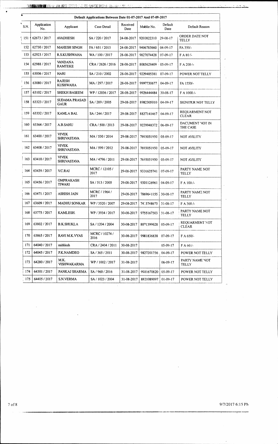|                 |                    |                                     | Default Applications Between Date 01-07-2017 And 07-09-2017 |                  |                       |                 |                                |  |
|-----------------|--------------------|-------------------------------------|-------------------------------------------------------------|------------------|-----------------------|-----------------|--------------------------------|--|
| S.N.            | Application<br>No. | Applicant                           | Case Detail                                                 | Received<br>Date | Moblie No.            | Default<br>Date | Default Reason                 |  |
| 151             | 62673 / 2017       | <b>AVADHESH</b>                     | SA / 220 / 2017                                             | 24-08-2017       | 9200822310            | 29-08-17        | ORDER DATE NOT<br>TELLY        |  |
| 152             | 62730 / 2017       | <b>MAHESH SINGH</b>                 | FA / 651 / 2015                                             | 24-08-2017       | 9406785660            | $04 - 09 - 17$  | FA 350/-                       |  |
| 153             | 62923 / 2017       | <b>R.S.KUSHWAHA</b>                 | WA / 100 / 2017                                             | 28-08-2017       | 9827074428            | 07-09-17        | FA 80/-                        |  |
| 154             | 62988 / 2017       | <b>VANDANA</b><br><b>RAMTEKE</b>    | CRA / 2626 / 2016                                           | 28-08-2017       | 8085623409   05-09-17 |                 | F A 200/-                      |  |
| 155             | 63006 / 2017       | HARI                                | SA / 210 / 2002                                             | 28-08-2017       | 9229485381 07-09-17   |                 | POWER NOT TELLY                |  |
| 156             | 63080 / 2017       | <b>RAJESH</b><br><b>KUSHWAHA</b>    | MA / 297 / 2017                                             | 28-03-2017       | 9997730677            | $04 - 09 - 17$  | FA 1550/-                      |  |
| 157             | 63102/2017         | <b>SHEKH BASEEM</b>                 | WP / 12036 / 2017                                           | 28-08-2017       | 9926444484            | $30 - 08 - 17$  | F A 1000/-                     |  |
| 158             | 63323 / 2017       | <b>SUDAMA PRASAD</b><br><b>GAUR</b> | SA / 289 / 2005                                             | 29-08-2017       | 8982305010            | $04 - 09 - 17$  | SIGNITUR NOT TELLY             |  |
| 159             | 63332/2017         | KAMLA BAI.                          | SA / 244 / 2017                                             | 29-08-2017       | 8827141467            | $04 - 09 - 17$  | REQUARMENT NOT<br><b>CLEAR</b> |  |
| 160             | 63364 / 2017       | A.B.SAHU                            | CRA / 500 / 2013                                            | 29-08-2017       | 9229948372            | 06-09-17        | DACUMENT NOT IN<br>THE CASE    |  |
| 161             | 63400 / 2017       | VIVEK<br><b>SHRIVASTAVA</b>         | MA / 530 / 2014                                             | 29-08-2017       | 7693051950            | 05-09-17        | NOT AVILITY                    |  |
| $\frac{162}{ }$ | 63408 / 2017       | <b>VIVEK</b><br><b>SHRIVASTAVA</b>  | MA / 599 / 2012                                             | 29-08-2017       | 7693051950            | $05-09-17$      | NOT AVILITY                    |  |
| 163             | 63410/2017         | <b>VIVEK</b><br><b>SHRIVASTAVA</b>  | MA / 4796 / 2011                                            | 29-08-2017       | 7693051950            | $05-09-17$      | <b>NOT AVILITY</b>             |  |
| 164             | 63439 / 2017       | V.C.RAI                             | MCRC / 12105 /<br>2017                                      | 29-08-2017       | 9331635741            | $07-09-17$      | PARTY NAME NOT<br><b>TELLY</b> |  |
| 165             | 63456 / 2017       | <b>OMPRAKASH</b><br><b>TIWARI</b>   | SA / 513 / 2005                                             | 29-08-2017       | 9301126961            | 04-09-17        | F A 100/-                      |  |
| 166             | 63471 / 2017       | ASHISH JAIN                         | MCRC / 1964 /<br>2017                                       | 29-08-2017       | 7869641155            | 30-08-17        | PARTY NAME NOT<br>TELLY        |  |
| 167             | 63609 / 2017       | <b>MADHU SONKAR</b>                 | WP / 3520 / 2007                                            | 29-08-2017       | 74 5748675            | $31 - 08 - 17$  | F A 300/-                      |  |
| 168             | 63775 / 2017       | KAMLESH.                            | WP / 3934 / 2017                                            | 30-08-2017       | 9755167503            | $31 - 08 - 17$  | PARTY NAME NOT<br>TELLY        |  |
| 169             | 63802 / 2017       | <b>B.K.SHUKLA</b>                   | SA / 1204 / 2004                                            | 30-08-2017       | 8871399628            | $05-09-17$      | REQUARMENT NOT<br><b>CLEAR</b> |  |
| 170             | 63865 / 2017       | RAVI M.K.VYAS                       | MCRC / 10274 /<br>2016                                      | 30-08-2017       | 9981836838            | 07-09-17        | F A 650/-                      |  |
| 171             | 64040 / 2017       | mithlesh                            | CRA / 2404 / 2011                                           | 30-08-2017       |                       | $05-09-17$      | FA 60/-                        |  |
| 172             | 64045 / 2017       | P.K.NAMDEO                          | SA / 365 / 2011                                             | 30-08-2017       | 9827201756            | 04-09-17        | POWER NOT TELLY                |  |
| 173             | 64280 / 2017       | M.K.<br><b>VISHWAKARMA</b>          | WP / 1002 / 2017                                            | 31-08-2017       |                       | $06 - 09 - 17$  | PARTY NAME NOT<br>TELLY        |  |
| 174             | 64301 / 2017       | PANKAJ SHARMA                       | SA / 960 / 2016                                             | 31-08-2017       | 9531670820            | $05-09-17$      | POWER NOT TELLY                |  |
| 175             | 64405 / 2017       | S.N.VERMA                           | SA / 1023 / 2004                                            | 31-08-2017       | 8821089097            | $01-09-17$      | POWER NOT TELLY                |  |

 $\label{eq:2.1} \frac{1}{\sqrt{2}}\sum_{i=1}^n\frac{1}{\sqrt{2}}\sum_{i=1}^n\frac{1}{\sqrt{2}}\sum_{i=1}^n\frac{1}{\sqrt{2}}\sum_{i=1}^n\frac{1}{\sqrt{2}}\sum_{i=1}^n\frac{1}{\sqrt{2}}\sum_{i=1}^n\frac{1}{\sqrt{2}}\sum_{i=1}^n\frac{1}{\sqrt{2}}\sum_{i=1}^n\frac{1}{\sqrt{2}}\sum_{i=1}^n\frac{1}{\sqrt{2}}\sum_{i=1}^n\frac{1}{\sqrt{2}}\sum_{i=1}^n\frac$ 

7 of 8 9/7/2017 6:15 PN

 $\hat{\mathcal{A}}$ 

 $\begin{array}{c} \mathbf{1} & \mathbf{1} \\ \mathbf{0} & \mathbf{0} \end{array}$